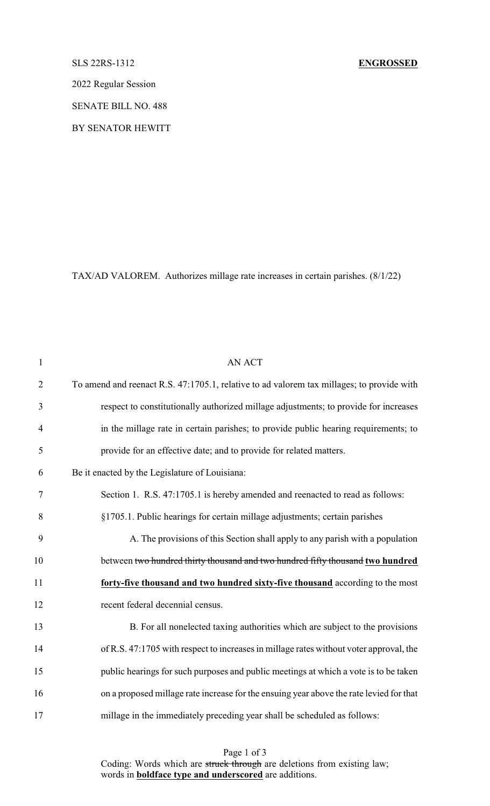### SLS 22RS-1312 **ENGROSSED**

2022 Regular Session

SENATE BILL NO. 488

BY SENATOR HEWITT

TAX/AD VALOREM. Authorizes millage rate increases in certain parishes. (8/1/22)

| $\mathbf{1}$   | <b>AN ACT</b>                                                                             |
|----------------|-------------------------------------------------------------------------------------------|
| $\overline{2}$ | To amend and reenact R.S. 47:1705.1, relative to ad valorem tax millages; to provide with |
| 3              | respect to constitutionally authorized millage adjustments; to provide for increases      |
| $\overline{4}$ | in the millage rate in certain parishes; to provide public hearing requirements; to       |
| 5              | provide for an effective date; and to provide for related matters.                        |
| 6              | Be it enacted by the Legislature of Louisiana:                                            |
| 7              | Section 1. R.S. 47:1705.1 is hereby amended and reenacted to read as follows:             |
| 8              | §1705.1. Public hearings for certain millage adjustments; certain parishes                |
| 9              | A. The provisions of this Section shall apply to any parish with a population             |
| 10             | between two hundred thirty thousand and two hundred fifty thousand two hundred            |
| 11             | forty-five thousand and two hundred sixty-five thousand according to the most             |
| 12             | recent federal decennial census.                                                          |
| 13             | B. For all nonelected taxing authorities which are subject to the provisions              |
| 14             | of R.S. 47:1705 with respect to increases in millage rates without voter approval, the    |
| 15             | public hearings for such purposes and public meetings at which a vote is to be taken      |
| 16             | on a proposed millage rate increase for the ensuing year above the rate levied for that   |
| 17             | millage in the immediately preceding year shall be scheduled as follows:                  |
|                |                                                                                           |

Page 1 of 3 Coding: Words which are struck through are deletions from existing law; words in **boldface type and underscored** are additions.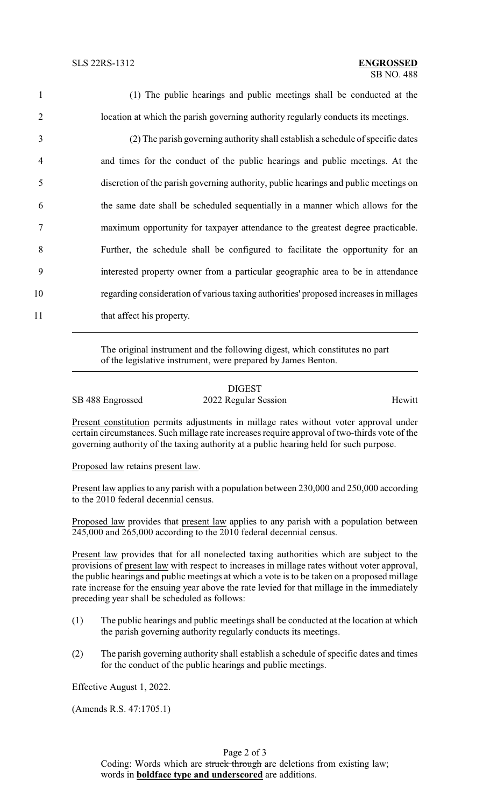| $\mathbf{1}$   | (1) The public hearings and public meetings shall be conducted at the                 |
|----------------|---------------------------------------------------------------------------------------|
| 2              | location at which the parish governing authority regularly conducts its meetings.     |
| 3              | (2) The parish governing authority shall establish a schedule of specific dates       |
| $\overline{4}$ | and times for the conduct of the public hearings and public meetings. At the          |
| 5              | discretion of the parish governing authority, public hearings and public meetings on  |
| 6              | the same date shall be scheduled sequentially in a manner which allows for the        |
| 7              | maximum opportunity for taxpayer attendance to the greatest degree practicable.       |
| 8              | Further, the schedule shall be configured to facilitate the opportunity for an        |
| 9              | interested property owner from a particular geographic area to be in attendance       |
| 10             | regarding consideration of various taxing authorities' proposed increases in millages |
| 11             | that affect his property.                                                             |

The original instrument and the following digest, which constitutes no part of the legislative instrument, were prepared by James Benton.

|                  | <b>DIGEST</b>        |        |
|------------------|----------------------|--------|
| SB 488 Engrossed | 2022 Regular Session | Hewitt |

Present constitution permits adjustments in millage rates without voter approval under certain circumstances. Such millage rate increases require approval of two-thirds vote of the governing authority of the taxing authority at a public hearing held for such purpose.

Proposed law retains present law.

Present law applies to any parish with a population between 230,000 and 250,000 according to the 2010 federal decennial census.

Proposed law provides that present law applies to any parish with a population between 245,000 and 265,000 according to the 2010 federal decennial census.

Present law provides that for all nonelected taxing authorities which are subject to the provisions of present law with respect to increases in millage rates without voter approval, the public hearings and public meetings at which a vote is to be taken on a proposed millage rate increase for the ensuing year above the rate levied for that millage in the immediately preceding year shall be scheduled as follows:

- (1) The public hearings and public meetings shall be conducted at the location at which the parish governing authority regularly conducts its meetings.
- (2) The parish governing authority shall establish a schedule of specific dates and times for the conduct of the public hearings and public meetings.

Effective August 1, 2022.

(Amends R.S. 47:1705.1)